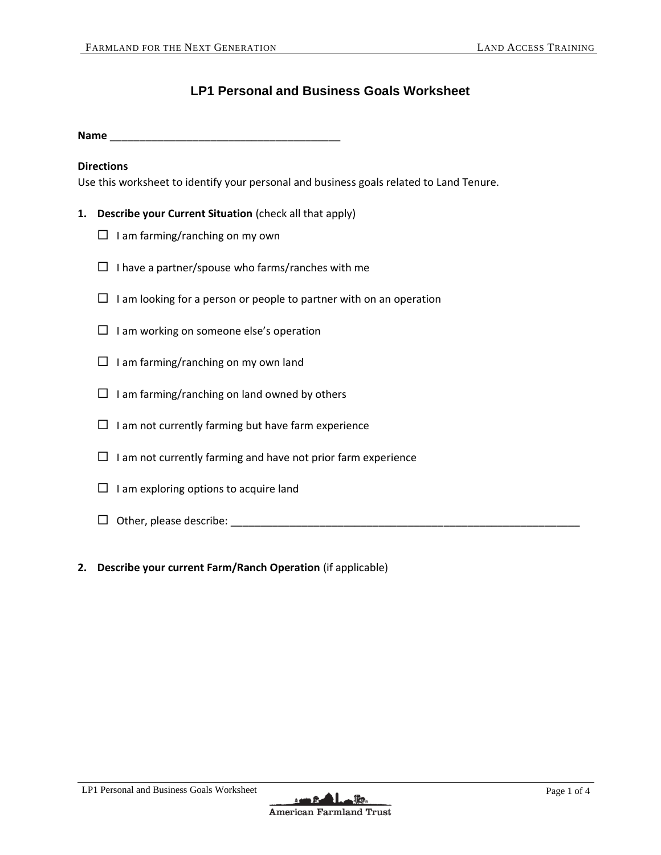# **LP1 Personal and Business Goals Worksheet**

**Name** \_\_\_\_\_\_\_\_\_\_\_\_\_\_\_\_\_\_\_\_\_\_\_\_\_\_\_\_\_\_\_\_\_\_\_\_\_\_\_

#### **Directions**

Use this worksheet to identify your personal and business goals related to Land Tenure.

- **1. Describe your Current Situation** (check all that apply)
	- $\Box$  I am farming/ranching on my own
	- $\square$  I have a partner/spouse who farms/ranches with me
	- $\Box$  I am looking for a person or people to partner with on an operation
	- $\Box$  I am working on someone else's operation
	- $\Box$  I am farming/ranching on my own land
	- $\Box$  I am farming/ranching on land owned by others
	- $\Box$  I am not currently farming but have farm experience
	- $\Box$  I am not currently farming and have not prior farm experience
	- $\Box$  I am exploring options to acquire land
	- $\Box$  Other, please describe:  $\Box$
- **2. Describe your current Farm/Ranch Operation** (if applicable)

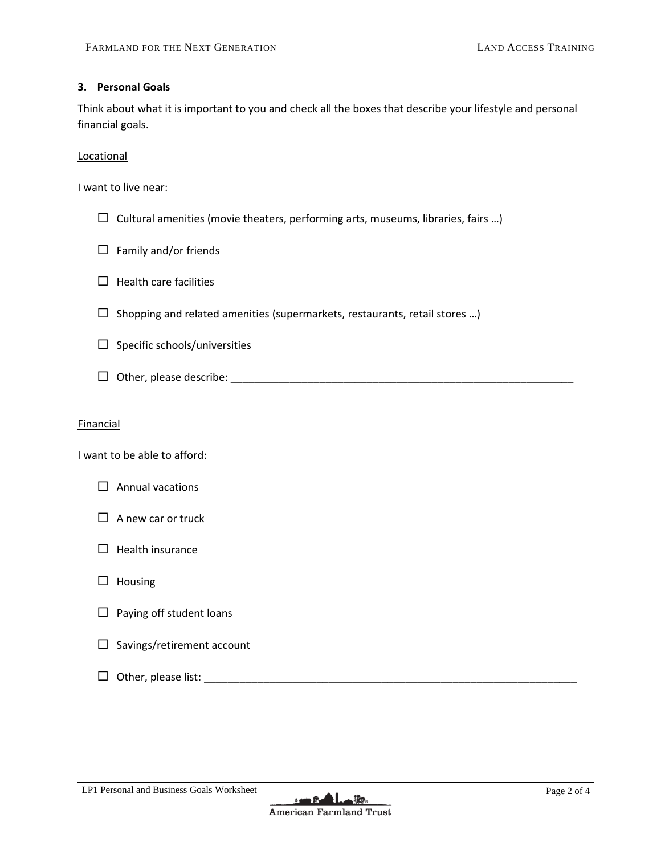# **3. Personal Goals**

Think about what it is important to you and check all the boxes that describe your lifestyle and personal financial goals.

Locational

I want to live near:

- $\square$  Cultural amenities (movie theaters, performing arts, museums, libraries, fairs ...)
- $\Box$  Family and/or friends
- $\Box$  Health care facilities
- $\square$  Shopping and related amenities (supermarkets, restaurants, retail stores ...)
- $\square$  Specific schools/universities
- Other, please describe: \_\_\_\_\_\_\_\_\_\_\_\_\_\_\_\_\_\_\_\_\_\_\_\_\_\_\_\_\_\_\_\_\_\_\_\_\_\_\_\_\_\_\_\_\_\_\_\_\_\_\_\_\_\_\_\_\_\_

# Financial

I want to be able to afford:



- $\Box$  A new car or truck
- $\Box$  Health insurance
- $\Box$  Housing
- $\Box$  Paying off student loans
- $\square$  Savings/retirement account
- Other, please list: \_\_\_\_\_\_\_\_\_\_\_\_\_\_\_\_\_\_\_\_\_\_\_\_\_\_\_\_\_\_\_\_\_\_\_\_\_\_\_\_\_\_\_\_\_\_\_\_\_\_\_\_\_\_\_\_\_\_\_\_\_\_\_

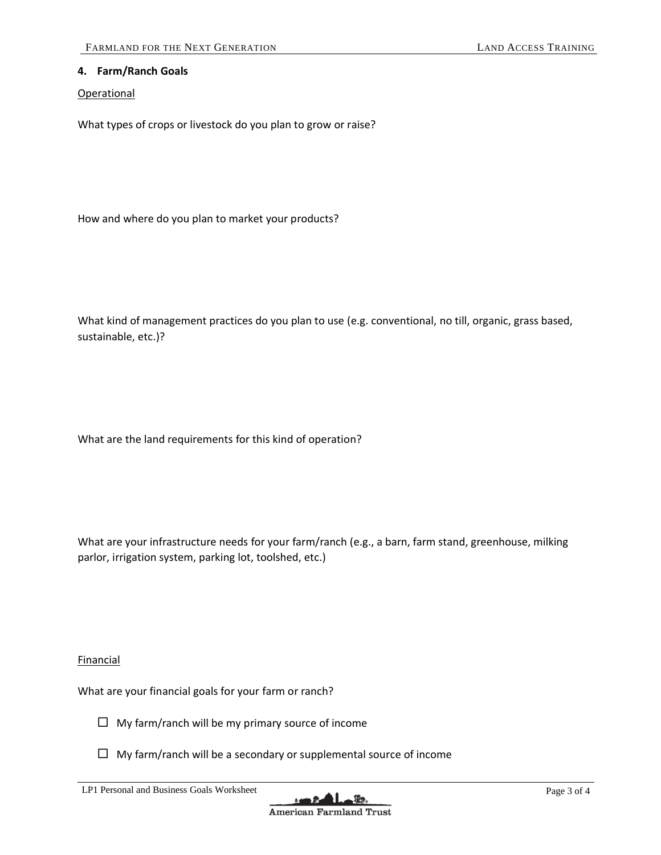### **4. Farm/Ranch Goals**

#### **Operational**

What types of crops or livestock do you plan to grow or raise?

How and where do you plan to market your products?

What kind of management practices do you plan to use (e.g. conventional, no till, organic, grass based, sustainable, etc.)?

What are the land requirements for this kind of operation?

What are your infrastructure needs for your farm/ranch (e.g., a barn, farm stand, greenhouse, milking parlor, irrigation system, parking lot, toolshed, etc.)

**Financial** 

What are your financial goals for your farm or ranch?

- $\Box$  My farm/ranch will be my primary source of income
- $\Box$  My farm/ranch will be a secondary or supplemental source of income